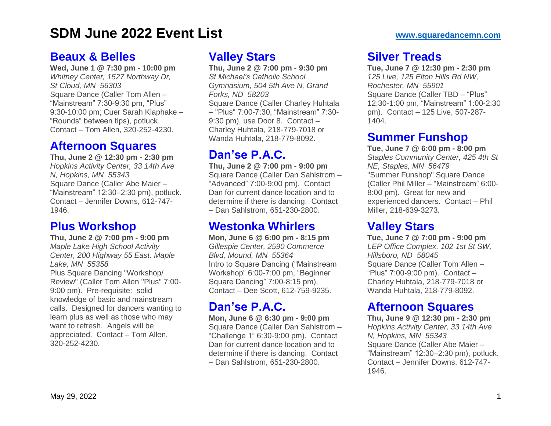#### **[Beaux](https://www.squaredancemn.com/?tribe_events=beaux-belles-188) & Belles**

**Wed, June 1 @ 7:30 pm - 10:00 pm** *Whitney Center, 1527 Northway Dr, St Cloud, MN 56303* Square Dance (Caller Tom Allen – "Mainstream" 7:30-9:30 pm, "Plus" 9:30-10:00 pm; Cuer Sarah Klaphake – "Rounds" between tips), potluck. Contact – Tom Allen, 320-252-4230.

#### **[Afternoon](https://www.squaredancemn.com/?tribe_events=afternoon-squares-318) Squares**

**Thu, June 2 @ 12:30 pm - 2:30 pm** *Hopkins Activity Center, 33 14th Ave N, Hopkins, MN 55343* Square Dance (Caller Abe Maier – "Mainstream" 12:30–2:30 pm), potluck. Contact – Jennifer Downs, 612-747- 1946.

#### **Plus [Workshop](https://www.squaredancemn.com/?tribe_events=plus-workshop-5)**

**Thu, June 2 @ 7:00 pm - 9:00 pm** *Maple Lake High School Activity Center, 200 Highway 55 East. Maple Lake, MN 55358* Plus Square Dancing "Workshop/ Review" (Caller Tom Allen "Plus" 7:00- 9:00 pm). Pre-requisite: solid knowledge of basic and mainstream calls. Designed for dancers wanting to learn plus as well as those who may want to refresh. Angels will be appreciated. Contact – Tom Allen, 320-252-4230.

## **[Valley](https://www.squaredancemn.com/?tribe_events=valley-stars-207) Stars**

**Thu, June 2 @ 7:00 pm - 9:30 pm** *St Michael's Catholic School Gymnasium, 504 5th Ave N, Grand Forks, ND 58203* Square Dance (Caller Charley Huhtala – "Plus" 7:00-7:30, "Mainstream" 7:30- 9:30 pm), use Door 8. Contact – Charley Huhtala, 218-779-7018 or Wanda Huhtala, 218-779-8092.

# **[Dan'se](https://www.squaredancemn.com/?tribe_events=danse-p-a-c-373) P.A.C.**

**Thu, June 2 @ 7:00 pm - 9:00 pm** Square Dance (Caller Dan Sahlstrom – "Advanced" 7:00-9:00 pm). Contact Dan for current dance location and to determine if there is dancing. Contact – Dan Sahlstrom, 651-230-2800.

## **[Westonka](https://www.squaredancemn.com/?tribe_events=westonka-whirlers-270) Whirlers**

**Mon, June 6 @ 6:00 pm - 8:15 pm** *Gillespie Center, 2590 Commerce Blvd, Mound, MN 55364* Intro to Square Dancing ("Mainstream Workshop" 6:00-7:00 pm, "Beginner Square Dancing" 7:00-8:15 pm). Contact – Dee Scott, 612-759-9235.

# **[Dan'se](https://www.squaredancemn.com/?tribe_events=danse-p-a-c-371) P.A.C.**

**Mon, June 6 @ 6:30 pm - 9:00 pm** Square Dance (Caller Dan Sahlstrom – "Challenge 1" 6:30-9:00 pm). Contact Dan for current dance location and to determine if there is dancing. Contact – Dan Sahlstrom, 651-230-2800.

# **Silver [Treads](https://www.squaredancemn.com/?tribe_events=silver-treads-306)**

**Tue, June 7 @ 12:30 pm - 2:30 pm** *125 Live, 125 Elton Hills Rd NW, Rochester, MN 55901* Square Dance (Caller TBD – "Plus" 12:30-1:00 pm, "Mainstream" 1:00-2:30 pm). Contact – 125 Live, 507-287- 1404.

#### **Summer [Funshop](https://www.squaredancemn.com/?tribe_events=summer-funshop-2)**

**Tue, June 7 @ 6:00 pm - 8:00 pm** *Staples Community Center, 425 4th St NE, Staples, MN 56479* "Summer Funshop" Square Dance (Caller Phil Miller – "Mainstream" 6:00- 8:00 pm). Great for new and experienced dancers. Contact – Phil Miller, 218-639-3273.

# **[Valley](https://www.squaredancemn.com/?tribe_events=valley-stars-198) Stars**

**Tue, June 7 @ 7:00 pm - 9:00 pm** *LEP Office Complex, 102 1st St SW, Hillsboro, ND 58045* Square Dance (Caller Tom Allen – "Plus" 7:00-9:00 pm). Contact – Charley Huhtala, 218-779-7018 or Wanda Huhtala, 218-779-8092.

# **[Afternoon](https://www.squaredancemn.com/?tribe_events=afternoon-squares-319) Squares**

**Thu, June 9 @ 12:30 pm - 2:30 pm** *Hopkins Activity Center, 33 14th Ave N, Hopkins, MN 55343* Square Dance (Caller Abe Maier – "Mainstream" 12:30–2:30 pm), potluck. Contact – Jennifer Downs, 612-747- 1946.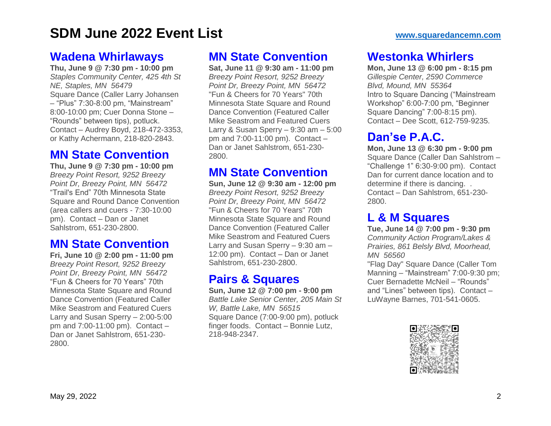#### **Wadena [Whirlaways](https://www.squaredancemn.com/?tribe_events=wadena-whirlaways-130)**

**Thu, June 9 @ 7:30 pm - 10:00 pm** *Staples Community Center, 425 4th St NE, Staples, MN 56479* Square Dance (Caller Larry Johansen – "Plus" 7:30-8:00 pm, "Mainstream" 8:00-10:00 pm; Cuer Donna Stone – "Rounds" between tips), potluck. Contact – Audrey Boyd, 218-472-3353, or Kathy Achermann, 218-820-2843.

# **MN State [Convention](https://www.squaredancemn.com/?tribe_events=mn-convention)**

**Thu, June 9 @ 7:30 pm - 10:00 pm** *Breezy Point Resort, 9252 Breezy Point Dr, Breezy Point, MN 56472* "Trail's End" 70th Minnesota State Square and Round Dance Convention (area callers and cuers - 7:30-10:00 pm). Contact – Dan or Janet Sahlstrom, 651-230-2800.

## **MN State [Convention](https://www.squaredancemn.com/?tribe_events=mn-state-convention-15)**

**Fri, June 10 @ 2:00 pm - 11:00 pm** *Breezy Point Resort, 9252 Breezy Point Dr, Breezy Point, MN 56472* "Fun & Cheers for 70 Years" 70th Minnesota State Square and Round Dance Convention (Featured Caller Mike Seastrom and Featured Cuers Larry and Susan Sperry – 2:00-5:00 pm and 7:00-11:00 pm). Contact – Dan or Janet Sahlstrom, 651-230- 2800.

# **MN State [Convention](https://www.squaredancemn.com/?tribe_events=mn-state-convention-16)**

**Sat, June 11 @ 9:30 am - 11:00 pm** *Breezy Point Resort, 9252 Breezy Point Dr, Breezy Point, MN 56472* "Fun & Cheers for 70 Years" 70th Minnesota State Square and Round Dance Convention (Featured Caller Mike Seastrom and Featured Cuers Larry & Susan Sperry  $-9:30$  am  $-5:00$ pm and 7:00-11:00 pm). Contact – Dan or Janet Sahlstrom, 651-230- 2800.

#### **MN State [Convention](https://www.squaredancemn.com/?tribe_events=mn-state-convention-17)**

**Sun, June 12 @ 9:30 am - 12:00 pm** *Breezy Point Resort, 9252 Breezy Point Dr, Breezy Point, MN 56472* "Fun & Cheers for 70 Years" 70th Minnesota State Square and Round Dance Convention (Featured Caller Mike Seastrom and Featured Cuers Larry and Susan Sperry – 9:30 am – 12:00 pm). Contact – Dan or Janet Sahlstrom, 651-230-2800.

# **Pairs & [Squares](https://www.squaredancemn.com/?tribe_events=pairs-squares-123)**

**Sun, June 12 @ 7:00 pm - 9:00 pm** *Battle Lake Senior Center, 205 Main St W, Battle Lake, MN 56515* Square Dance (7:00-9:00 pm), potluck finger foods. Contact – Bonnie Lutz, 218-948-2347.

# **[Westonka](https://www.squaredancemn.com/?tribe_events=westonka-whirlers-271) Whirlers**

**Mon, June 13 @ 6:00 pm - 8:15 pm** *Gillespie Center, 2590 Commerce Blvd, Mound, MN 55364* Intro to Square Dancing ("Mainstream Workshop" 6:00-7:00 pm, "Beginner Square Dancing" 7:00-8:15 pm). Contact – Dee Scott, 612-759-9235.

# **[Dan'se](https://www.squaredancemn.com/?tribe_events=danse-p-a-c-372) P.A.C.**

**Mon, June 13 @ 6:30 pm - 9:00 pm** Square Dance (Caller Dan Sahlstrom – "Challenge 1" 6:30-9:00 pm). Contact Dan for current dance location and to determine if there is dancing. . Contact – Dan Sahlstrom, 651-230- 2800.

# **L & M [Squares](https://www.squaredancemn.com/?tribe_events=l-m-squares-154)**

**Tue, June 14 @ 7:00 pm - 9:30 pm** *Community Action Program/Lakes & Prairies, 861 Belsly Blvd, Moorhead, MN 56560*

"Flag Day" Square Dance (Caller Tom Manning – "Mainstream" 7:00-9:30 pm; Cuer Bernadette McNeil – "Rounds" and "Lines" between tips). Contact – LuWayne Barnes, 701-541-0605.

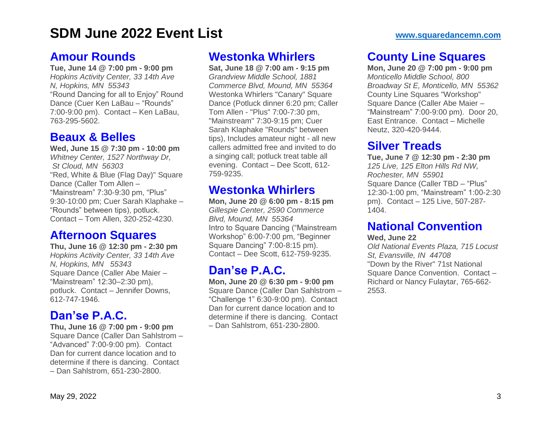#### **Amour [Rounds](https://www.squaredancemn.com/?tribe_events=amour-rounds-82)**

**Tue, June 14 @ 7:00 pm - 9:00 pm** *Hopkins Activity Center, 33 14th Ave N, Hopkins, MN 55343* "Round Dancing for all to Enjoy" Round Dance (Cuer Ken LaBau – "Rounds" 7:00-9:00 pm). Contact – Ken LaBau, 763-295-5602.

#### **[Beaux](https://www.squaredancemn.com/?tribe_events=beaux-belles-189) & Belles**

**Wed, June 15 @ 7:30 pm - 10:00 pm** *Whitney Center, 1527 Northway Dr, St Cloud, MN 56303* "Red, White & Blue (Flag Day)" Square Dance (Caller Tom Allen – "Mainstream" 7:30-9:30 pm, "Plus" 9:30-10:00 pm; Cuer Sarah Klaphake – "Rounds" between tips), potluck. Contact – Tom Allen, 320-252-4230.

## **[Afternoon](https://www.squaredancemn.com/?tribe_events=afternoon-squares-320) Squares**

**Thu, June 16 @ 12:30 pm - 2:30 pm** *Hopkins Activity Center, 33 14th Ave N, Hopkins, MN 55343* Square Dance (Caller Abe Maier – "Mainstream" 12:30–2:30 pm), potluck. Contact – Jennifer Downs, 612-747-1946.

## **[Dan'se](https://www.squaredancemn.com/?tribe_events=danse-p-a-c-374) P.A.C.**

**Thu, June 16 @ 7:00 pm - 9:00 pm** Square Dance (Caller Dan Sahlstrom – "Advanced" 7:00-9:00 pm). Contact Dan for current dance location and to determine if there is dancing. Contact – Dan Sahlstrom, 651-230-2800.

# **[Westonka](https://www.squaredancemn.com/?tribe_events=westonka-whirlers-204) Whirlers**

**Sat, June 18 @ 7:00 am - 9:15 pm** *Grandview Middle School, 1881 Commerce Blvd, Mound, MN 55364* Westonka Whirlers "Canary" Square Dance (Potluck dinner 6:20 pm; Caller Tom Allen - "Plus" 7:00-7:30 pm, "Mainstream" 7:30-9:15 pm; Cuer Sarah Klaphake "Rounds" between tips), Includes amateur night - all new callers admitted free and invited to do a singing call; potluck treat table all evening. Contact – Dee Scott, 612- 759-9235.

# **[Westonka](https://www.squaredancemn.com/?tribe_events=westonka-whirlers-272) Whirlers**

**Mon, June 20 @ 6:00 pm - 8:15 pm** *Gillespie Center, 2590 Commerce Blvd, Mound, MN 55364* Intro to Square Dancing ("Mainstream Workshop" 6:00-7:00 pm, "Beginner Square Dancing" 7:00-8:15 pm). Contact – Dee Scott, 612-759-9235.

# **[Dan'se](https://www.squaredancemn.com/?tribe_events=danse-p-a-c-376) P.A.C.**

**Mon, June 20 @ 6:30 pm - 9:00 pm** Square Dance (Caller Dan Sahlstrom – "Challenge 1" 6:30-9:00 pm). Contact Dan for current dance location and to determine if there is dancing. Contact – Dan Sahlstrom, 651-230-2800.

# **County Line [Squares](https://www.squaredancemn.com/?tribe_events=county-line-squares-181)**

**Mon, June 20 @ 7:00 pm - 9:00 pm** *Monticello Middle School, 800 Broadway St E, Monticello, MN 55362* County Line Squares "Workshop" Square Dance (Caller Abe Maier – "Mainstream" 7:00-9:00 pm). Door 20, East Entrance. Contact – Michelle Neutz, 320-420-9444.

# **Silver [Treads](https://www.squaredancemn.com/?tribe_events=silver-treads-306)**

**Tue, June 7 @ 12:30 pm - 2:30 pm** *125 Live, 125 Elton Hills Rd NW, Rochester, MN 55901* Square Dance (Caller TBD – "Plus" 12:30-1:00 pm, "Mainstream" 1:00-2:30 pm). Contact – 125 Live, 507-287- 1404.

# **National [Convention](https://www.squaredancemn.com/?tribe_events=national-convention-5)**

#### **Wed, June 22**

*Old National Events Plaza, 715 Locust St, Evansville, IN 44708* "Down by the River" 71st National Square Dance Convention. Contact – Richard or Nancy Fulaytar, 765-662- 2553.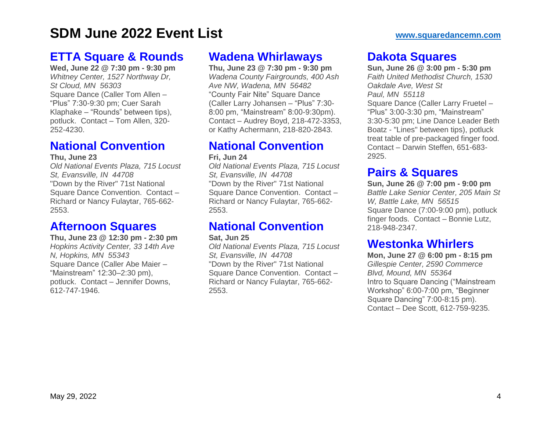## **ETTA Square & [Rounds](https://www.squaredancemn.com/?tribe_events=etta-square-rounds-69)**

**Wed, June 22 @ 7:30 pm - 9:30 pm** *Whitney Center, 1527 Northway Dr, St Cloud, MN 56303* Square Dance (Caller Tom Allen – "Plus" 7:30-9:30 pm; Cuer Sarah Klaphake – "Rounds" between tips), potluck. Contact – Tom Allen, 320- 252-4230.

## **National [Convention](https://www.squaredancemn.com/?tribe_events=national-convention-5)**

**Thu, June 23**

*Old National Events Plaza, 715 Locust St, Evansville, IN 44708* "Down by the River" 71st National Square Dance Convention. Contact – Richard or Nancy Fulaytar, 765-662- 2553.

## **[Afternoon](https://www.squaredancemn.com/?tribe_events=afternoon-squares-321) Squares**

**Thu, June 23 @ 12:30 pm - 2:30 pm** *Hopkins Activity Center, 33 14th Ave N, Hopkins, MN 55343* Square Dance (Caller Abe Maier – "Mainstream" 12:30–2:30 pm), potluck. Contact – Jennifer Downs, 612-747-1946.

## **Wadena [Whirlaways](https://www.squaredancemn.com/?tribe_events=wadena-whirlaways-143)**

**Thu, June 23 @ 7:30 pm - 9:30 pm** *Wadena County Fairgrounds, 400 Ash Ave NW, Wadena, MN 56482* "County Fair Nite" Square Dance (Caller Larry Johansen – "Plus" 7:30- 8:00 pm, "Mainstream" 8:00-9:30pm). Contact – Audrey Boyd, 218-472-3353, or Kathy Achermann, 218-820-2843.

# **National [Convention](https://www.squaredancemn.com/?tribe_events=national-convention-5)**

**Fri, Jun 24**

*Old National Events Plaza, 715 Locust St, Evansville, IN 44708* "Down by the River" 71st National Square Dance Convention. Contact – Richard or Nancy Fulaytar, 765-662- 2553.

# **National [Convention](https://www.squaredancemn.com/?tribe_events=national-convention-5)**

#### **Sat, Jun 25**

*Old National Events Plaza, 715 Locust St, Evansville, IN 44708* "Down by the River" 71st National Square Dance Convention. Contact – Richard or Nancy Fulaytar, 765-662- 2553.

## **Dakota [Squares](https://www.squaredancemn.com/?tribe_events=dakota-squares-30)**

**Sun, June 26 @ 3:00 pm - 5:30 pm** *Faith United Methodist Church, 1530 Oakdale Ave, West St Paul, MN 55118* Square Dance (Caller Larry Fruetel – "Plus" 3:00-3:30 pm, "Mainstream" 3:30-5:30 pm; Line Dance Leader Beth Boatz - "Lines" between tips), potluck treat table of pre-packaged finger food. Contact – Darwin Steffen, 651-683- 2925.

# **Pairs & [Squares](https://www.squaredancemn.com/?tribe_events=westonka-whirlers-244)**

**Sun, June 26 @ 7:00 pm - 9:00 pm** *Battle Lake Senior Center, 205 Main St W, Battle Lake, MN 56515* Square Dance (7:00-9:00 pm), potluck finger foods. Contact – Bonnie Lutz, 218-948-2347.

# **[Westonka](https://www.squaredancemn.com/?tribe_events=westonka-whirlers-273) Whirlers**

**Mon, June 27 @ 6:00 pm - 8:15 pm** *Gillespie Center, 2590 Commerce Blvd, Mound, MN 55364* Intro to Square Dancing ("Mainstream Workshop" 6:00-7:00 pm, "Beginner Square Dancing" 7:00-8:15 pm). Contact – Dee Scott, 612-759-9235.